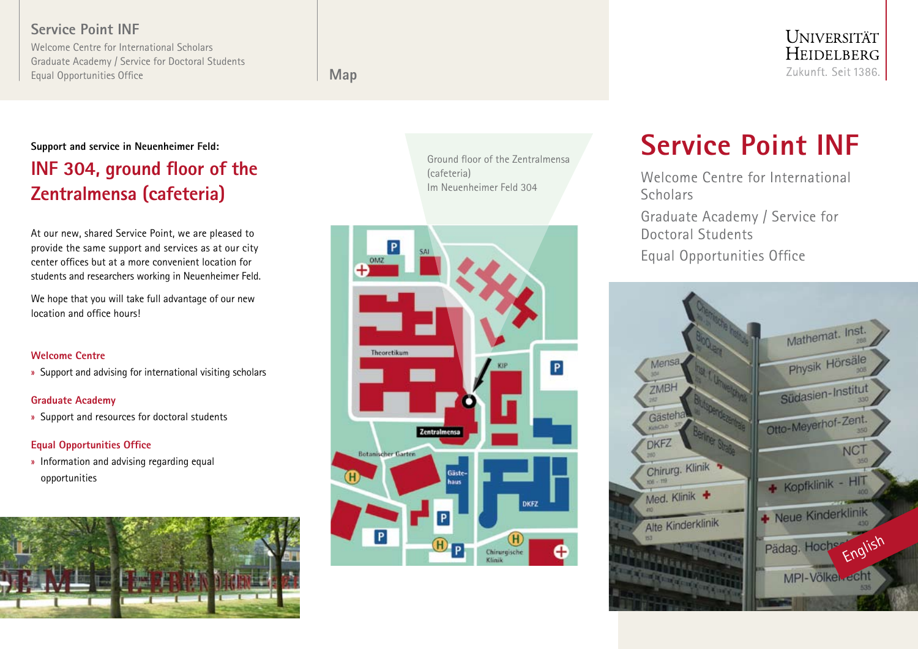## Service Point INF

Welcome Centre for International Scholars Graduate Academy / Service for Doctoral Students Equal Opportunities Office

Map

# **UNIVERSITÄT** HEIDELBERG Zukunft. Seit 1386.

# Support and service in Neuenheimer Feld: INF 304, ground floor of the Zentralmensa (cafeteria)

At our new, shared Service Point, we are pleased to provide the same support and services as at our city center offices but at a more convenient location for students and researchers working in Neuenheimer Feld.

We hope that you will take full advantage of our new location and office hours!

## Welcome Centre

» Support and advising for international visiting scholars

## Graduate Academy

» Support and resources for doctoral students

## Equal Opportunities Office

» Information and advising regarding equal opportunities



Ground floor of the Zentralmensa (cafeteria) Im Neuenheimer Feld 304



# Service Point INF

Welcome Centre for International **Scholars** Graduate Academy / Service for Doctoral Students Equal Opportunities Office